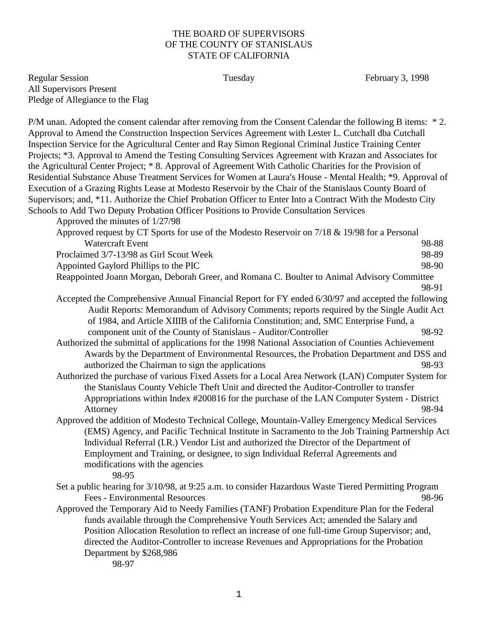## THE BOARD OF SUPERVISORS OF THE COUNTY OF STANISLAUS STATE OF CALIFORNIA

Regular Session **Fulle** Tuesday **February 3, 1998** February 3, 1998 All Supervisors Present Pledge of Allegiance to the Flag

P/M unan. Adopted the consent calendar after removing from the Consent Calendar the following B items: \* 2. Approval to Amend the Construction Inspection Services Agreement with Lester L. Cutchall dba Cutchall Inspection Service for the Agricultural Center and Ray Simon Regional Criminal Justice Training Center Projects; \*3. Approval to Amend the Testing Consulting Services Agreement with Krazan and Associates for the Agricultural Center Project; \* 8. Approval of Agreement With Catholic Charities for the Provision of Residential Substance Abuse Treatment Services for Women at Laura's House - Mental Health; \*9. Approval of Execution of a Grazing Rights Lease at Modesto Reservoir by the Chair of the Stanislaus County Board of Supervisors; and, \*11. Authorize the Chief Probation Officer to Enter Into a Contract With the Modesto City Schools to Add Two Deputy Probation Officer Positions to Provide Consultation Services

Approved the minutes of 1/27/98

| Approved request by CT Sports for use of the Modesto Reservoir on 7/18 & 19/98 for a Personal |       |
|-----------------------------------------------------------------------------------------------|-------|
| Watercraft Event                                                                              | 98-88 |
| Proclaimed 3/7-13/98 as Girl Scout Week                                                       | 98-89 |
| Appointed Gaylord Phillips to the PIC                                                         | 98-90 |
|                                                                                               |       |

- Reappointed Joann Morgan, Deborah Greer, and Romana C. Boulter to Animal Advisory Committee 98-91
- Accepted the Comprehensive Annual Financial Report for FY ended 6/30/97 and accepted the following Audit Reports: Memorandum of Advisory Comments; reports required by the Single Audit Act of 1984, and Article XIIIB of the California Constitution; and, SMC Enterprise Fund, a component unit of the County of Stanislaus - Auditor/Controller 98-92
- Authorized the submittal of applications for the 1998 National Association of Counties Achievement Awards by the Department of Environmental Resources, the Probation Department and DSS and authorized the Chairman to sign the applications 98-93
- Authorized the purchase of various Fixed Assets for a Local Area Network (LAN) Computer System for the Stanislaus County Vehicle Theft Unit and directed the Auditor-Controller to transfer Appropriations within Index #200816 for the purchase of the LAN Computer System - District Attorney 98-94
- Approved the addition of Modesto Technical College, Mountain-Valley Emergency Medical Services (EMS) Agency, and Pacific Technical Institute in Sacramento to the Job Training Partnership Act Individual Referral (I.R.) Vendor List and authorized the Director of the Department of Employment and Training, or designee, to sign Individual Referral Agreements and modifications with the agencies
	- 98-95
- Set a public hearing for 3/10/98, at 9:25 a.m. to consider Hazardous Waste Tiered Permitting Program Fees - Environmental Resources 98-96
- Approved the Temporary Aid to Needy Families (TANF) Probation Expenditure Plan for the Federal funds available through the Comprehensive Youth Services Act; amended the Salary and Position Allocation Resolution to reflect an increase of one full-time Group Supervisor; and, directed the Auditor-Controller to increase Revenues and Appropriations for the Probation Department by \$268,986

98-97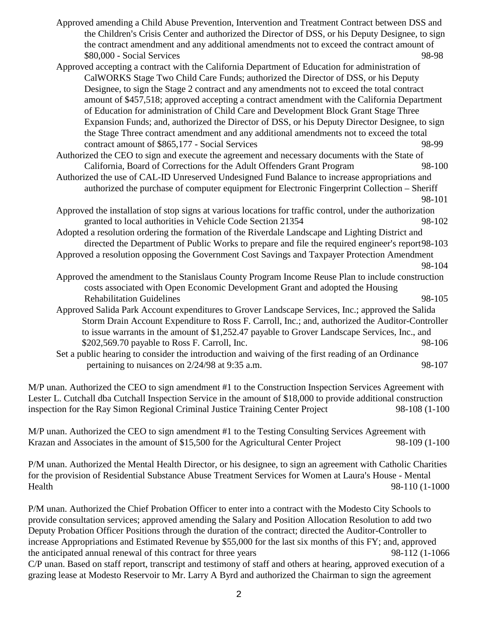- Approved amending a Child Abuse Prevention, Intervention and Treatment Contract between DSS and the Children's Crisis Center and authorized the Director of DSS, or his Deputy Designee, to sign the contract amendment and any additional amendments not to exceed the contract amount of \$80,000 - Social Services 98-98
- Approved accepting a contract with the California Department of Education for administration of CalWORKS Stage Two Child Care Funds; authorized the Director of DSS, or his Deputy Designee, to sign the Stage 2 contract and any amendments not to exceed the total contract amount of \$457,518; approved accepting a contract amendment with the California Department of Education for administration of Child Care and Development Block Grant Stage Three Expansion Funds; and, authorized the Director of DSS, or his Deputy Director Designee, to sign the Stage Three contract amendment and any additional amendments not to exceed the total contract amount of \$865,177 - Social Services 98-99
- Authorized the CEO to sign and execute the agreement and necessary documents with the State of California, Board of Corrections for the Adult Offenders Grant Program 98-100
- Authorized the use of CAL-ID Unreserved Undesigned Fund Balance to increase appropriations and authorized the purchase of computer equipment for Electronic Fingerprint Collection – Sheriff 98-101
- Approved the installation of stop signs at various locations for traffic control, under the authorization granted to local authorities in Vehicle Code Section 21354 98-102

Adopted a resolution ordering the formation of the Riverdale Landscape and Lighting District and directed the Department of Public Works to prepare and file the required engineer's report98-103 Approved a resolution opposing the Government Cost Savings and Taxpayer Protection Amendment

- 98-104
- Approved the amendment to the Stanislaus County Program Income Reuse Plan to include construction costs associated with Open Economic Development Grant and adopted the Housing Rehabilitation Guidelines **68-105** entertainment of the state of the state of the state of the state of the state of the state of the state of the state of the state of the state of the state of the state of the state of t
- Approved Salida Park Account expenditures to Grover Landscape Services, Inc.; approved the Salida Storm Drain Account Expenditure to Ross F. Carroll, Inc.; and, authorized the Auditor-Controller to issue warrants in the amount of \$1,252.47 payable to Grover Landscape Services, Inc., and \$202,569.70 payable to Ross F. Carroll, Inc. 98-106
- Set a public hearing to consider the introduction and waiving of the first reading of an Ordinance pertaining to nuisances on  $2/24/98$  at 9:35 a.m. 98-107

M/P unan. Authorized the CEO to sign amendment #1 to the Construction Inspection Services Agreement with Lester L. Cutchall dba Cutchall Inspection Service in the amount of \$18,000 to provide additional construction inspection for the Ray Simon Regional Criminal Justice Training Center Project 98-108 (1-100

M/P unan. Authorized the CEO to sign amendment #1 to the Testing Consulting Services Agreement with Krazan and Associates in the amount of \$15,500 for the Agricultural Center Project 98-109 (1-100

P/M unan. Authorized the Mental Health Director, or his designee, to sign an agreement with Catholic Charities for the provision of Residential Substance Abuse Treatment Services for Women at Laura's House - Mental Health 98-110 (1-1000

P/M unan. Authorized the Chief Probation Officer to enter into a contract with the Modesto City Schools to provide consultation services; approved amending the Salary and Position Allocation Resolution to add two Deputy Probation Officer Positions through the duration of the contract; directed the Auditor-Controller to increase Appropriations and Estimated Revenue by \$55,000 for the last six months of this FY; and, approved the anticipated annual renewal of this contract for three years 98-112 (1-1066 C/P unan. Based on staff report, transcript and testimony of staff and others at hearing, approved execution of a grazing lease at Modesto Reservoir to Mr. Larry A Byrd and authorized the Chairman to sign the agreement